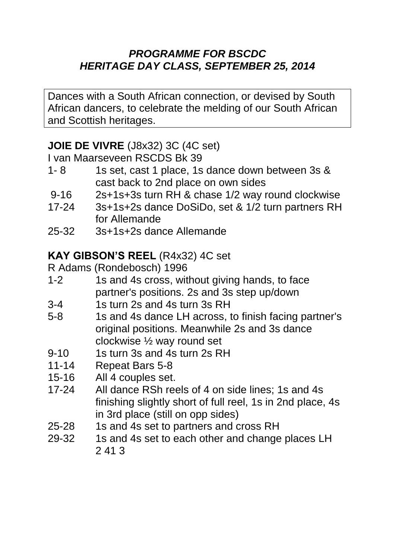#### *PROGRAMME FOR BSCDC HERITAGE DAY CLASS, SEPTEMBER 25, 2014*

Dances with a South African connection, or devised by South African dancers, to celebrate the melding of our South African and Scottish heritages.

### **JOIE DE VIVRE** (J8x32) 3C (4C set)

I van Maarseveen RSCDS Bk 39

- 1- 8 1s set, cast 1 place, 1s dance down between 3s & cast back to 2nd place on own sides
- 9-16 2s+1s+3s turn RH & chase 1/2 way round clockwise
- 17-24 3s+1s+2s dance DoSiDo, set & 1/2 turn partners RH for Allemande
- 25-32 3s+1s+2s dance Allemande

# **KAY GIBSON'S REEL** (R4x32) 4C set

R Adams (Rondebosch) 1996

- 1-2 1s and 4s cross, without giving hands, to face partner's positions. 2s and 3s step up/down
- 3-4 1s turn 2s and 4s turn 3s RH
- 5-8 1s and 4s dance LH across, to finish facing partner's original positions. Meanwhile 2s and 3s dance clockwise ½ way round set
- 9-10 1s turn 3s and 4s turn 2s RH
- 11-14 Repeat Bars 5-8
- 15-16 All 4 couples set.
- 17-24 All dance RSh reels of 4 on side lines; 1s and 4s finishing slightly short of full reel, 1s in 2nd place, 4s in 3rd place (still on opp sides)
- 25-28 1s and 4s set to partners and cross RH
- 29-32 1s and 4s set to each other and change places LH 2 41 3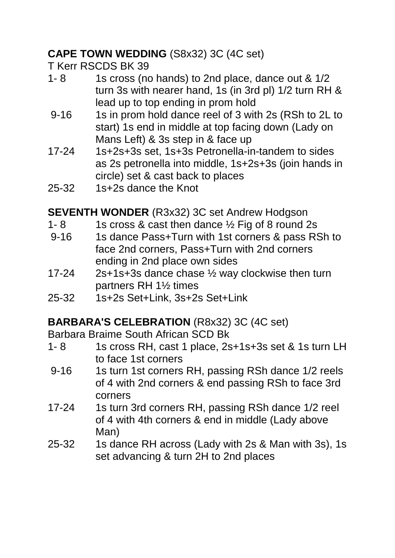## **CAPE TOWN WEDDING** (S8x32) 3C (4C set)

T Kerr RSCDS BK 39

- 1- 8 1s cross (no hands) to 2nd place, dance out & 1/2 turn 3s with nearer hand, 1s (in 3rd pl) 1/2 turn RH & lead up to top ending in prom hold
- 9-16 1s in prom hold dance reel of 3 with 2s (RSh to 2L to start) 1s end in middle at top facing down (Lady on Mans Left) & 3s step in & face up
- 17-24 1s+2s+3s set, 1s+3s Petronella-in-tandem to sides as 2s petronella into middle, 1s+2s+3s (join hands in circle) set & cast back to places
- 25-32 1s+2s dance the Knot

**SEVENTH WONDER** (R3x32) 3C set Andrew Hodgson

- 1- 8 1s cross & cast then dance  $\frac{1}{2}$  Fig of 8 round 2s
- 9-16 1s dance Pass+Turn with 1st corners & pass RSh to face 2nd corners, Pass+Turn with 2nd corners ending in 2nd place own sides
- 17-24 2s+1s+3s dance chase ½ way clockwise then turn partners RH 1½ times
- 25-32 1s+2s Set+Link, 3s+2s Set+Link

# **BARBARA'S CELEBRATION** (R8x32) 3C (4C set)

Barbara Braime South African SCD Bk

- 1- 8 1s cross RH, cast 1 place, 2s+1s+3s set & 1s turn LH to face 1st corners
- 9-16 1s turn 1st corners RH, passing RSh dance 1/2 reels of 4 with 2nd corners & end passing RSh to face 3rd corners
- 17-24 1s turn 3rd corners RH, passing RSh dance 1/2 reel of 4 with 4th corners & end in middle (Lady above Man)
- 25-32 1s dance RH across (Lady with 2s & Man with 3s), 1s set advancing & turn 2H to 2nd places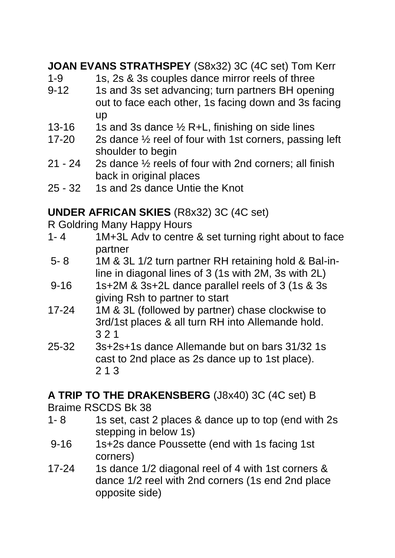**JOAN EVANS STRATHSPEY** (S8x32) 3C (4C set) Tom Kerr

- 1-9 1s, 2s & 3s couples dance mirror reels of three
- 9-12 1s and 3s set advancing; turn partners BH opening out to face each other, 1s facing down and 3s facing up
- 13-16 1s and 3s dance  $\frac{1}{2}$  R+L, finishing on side lines
- 17-20 2s dance ½ reel of four with 1st corners, passing left shoulder to begin
- 21 24 2s dance ½ reels of four with 2nd corners; all finish back in original places
- 25 32 1s and 2s dance Untie the Knot

### **UNDER AFRICAN SKIES** (R8x32) 3C (4C set)

R Goldring Many Happy Hours

- 1- 4 1M+3L Adv to centre & set turning right about to face partner
- 5- 8 1M & 3L 1/2 turn partner RH retaining hold & Bal-inline in diagonal lines of 3 (1s with 2M, 3s with 2L)
- 9-16 1s+2M & 3s+2L dance parallel reels of 3 (1s & 3s giving Rsh to partner to start
- 17-24 1M & 3L (followed by partner) chase clockwise to 3rd/1st places & all turn RH into Allemande hold. 3 2 1
- 25-32 3s+2s+1s dance Allemande but on bars 31/32 1s cast to 2nd place as 2s dance up to 1st place). 2 1 3

### **A TRIP TO THE DRAKENSBERG** (J8x40) 3C (4C set) B

Braime RSCDS Bk 38

- 1- 8 1s set, cast 2 places & dance up to top (end with 2s stepping in below 1s)
- 9-16 1s+2s dance Poussette (end with 1s facing 1st corners)
- 17-24 1s dance 1/2 diagonal reel of 4 with 1st corners & dance 1/2 reel with 2nd corners (1s end 2nd place opposite side)